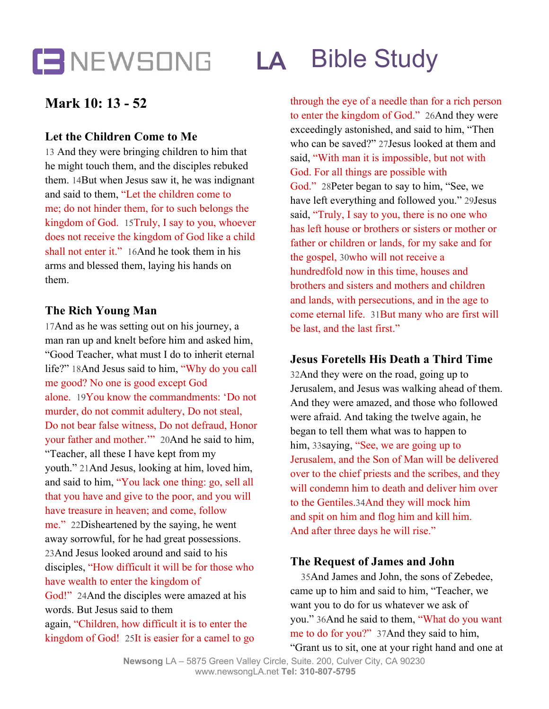### **LA** Bible Study

### **Mark 10: 13 - 52**

### **Let the Children Come to Me**

13 And they were bringing children to him that he might touch them, and the disciples rebuked them. 14But when Jesus saw it, he was indignant and said to them, "Let the children come to me; do not hinder them, for to such belongs the kingdom of God. 15Truly, I say to you, whoever does not receive the kingdom of God like a child shall not enter it." 16And he took them in his arms and blessed them, laying his hands on them.

### **The Rich Young Man**

17And as he was setting out on his journey, a man ran up and knelt before him and asked him, "Good Teacher, what must I do to inherit eternal life?" 18And Jesus said to him, "Why do you call me good? No one is good except God alone. 19You know the commandments: 'Do not murder, do not commit adultery, Do not steal, Do not bear false witness, Do not defraud, Honor your father and mother.'" 20And he said to him, "Teacher, all these I have kept from my youth." 21And Jesus, looking at him, loved him, and said to him, "You lack one thing: go, sell all that you have and give to the poor, and you will have treasure in heaven; and come, follow me." 22Disheartened by the saying, he went away sorrowful, for he had great possessions. 23And Jesus looked around and said to his disciples, "How difficult it will be for those who have wealth to enter the kingdom of God!" 24And the disciples were amazed at his words. But Jesus said to them again, "Children, how difficult it is to enter the

kingdom of God! 25It is easier for a camel to go

through the eye of a needle than for a rich person to enter the kingdom of God." 26And they were exceedingly astonished, and said to him, "Then who can be saved?" 27Jesus looked at them and said, "With man it is impossible, but not with God. For all things are possible with God." 28Peter began to say to him, "See, we have left everything and followed you." 29Jesus said, "Truly, I say to you, there is no one who has left house or brothers or sisters or mother or father or children or lands, for my sake and for the gospel, 30who will not receive a hundredfold now in this time, houses and brothers and sisters and mothers and children and lands, with persecutions, and in the age to come eternal life. 31But many who are first will be last, and the last first."

### **Jesus Foretells His Death a Third Time**

32And they were on the road, going up to Jerusalem, and Jesus was walking ahead of them. And they were amazed, and those who followed were afraid. And taking the twelve again, he began to tell them what was to happen to him, 33saying, "See, we are going up to Jerusalem, and the Son of Man will be delivered over to the chief priests and the scribes, and they will condemn him to death and deliver him over to the Gentiles.34And they will mock him and spit on him and flog him and kill him. And after three days he will rise."

### **The Request of James and John**

35And James and John, the sons of Zebedee, came up to him and said to him, "Teacher, we want you to do for us whatever we ask of you." 36And he said to them, "What do you want me to do for you?" 37And they said to him, "Grant us to sit, one at your right hand and one at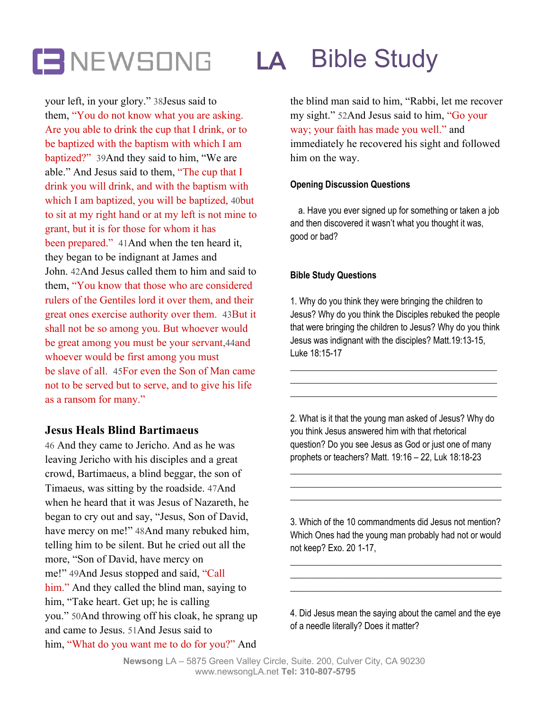# **LA** Bible Study

your left, in your glory." 38Jesus said to them, "You do not know what you are asking. Are you able to drink the cup that I drink, or to be baptized with the baptism with which I am baptized?" 39And they said to him, "We are able." And Jesus said to them, "The cup that I drink you will drink, and with the baptism with which I am baptized, you will be baptized, 40but to sit at my right hand or at my left is not mine to grant, but it is for those for whom it has been prepared." 41 And when the ten heard it, they began to be indignant at James and John. 42And Jesus called them to him and said to them, "You know that those who are considered rulers of the Gentiles lord it over them, and their great ones exercise authority over them. 43But it shall not be so among you. But whoever would be great among you must be your servant,44and whoever would be first among you must be slave of all. 45For even the Son of Man came not to be served but to serve, and to give his life as a ransom for many."

### **Jesus Heals Blind Bartimaeus**

46 And they came to Jericho. And as he was leaving Jericho with his disciples and a great crowd, Bartimaeus, a blind beggar, the son of Timaeus, was sitting by the roadside. 47And when he heard that it was Jesus of Nazareth, he began to cry out and say, "Jesus, Son of David, have mercy on me!" 48And many rebuked him, telling him to be silent. But he cried out all the more, "Son of David, have mercy on me!" 49And Jesus stopped and said, "Call him." And they called the blind man, saying to him, "Take heart. Get up; he is calling you." 50And throwing off his cloak, he sprang up and came to Jesus. 51And Jesus said to him, "What do you want me to do for you?" And the blind man said to him, "Rabbi, let me recover my sight." 52And Jesus said to him, "Go your way; your faith has made you well." and immediately he recovered his sight and followed him on the way.

#### **Opening Discussion Questions**

a. Have you ever signed up for something or taken a job and then discovered it wasn't what you thought it was, good or bad?

#### **Bible Study Questions**

1. Why do you think they were bringing the children to Jesus? Why do you think the Disciples rebuked the people that were bringing the children to Jesus? Why do you think Jesus was indignant with the disciples? Matt.19:13-15, Luke 18:15-17

\_\_\_\_\_\_\_\_\_\_\_\_\_\_\_\_\_\_\_\_\_\_\_\_\_\_\_\_\_\_\_\_\_\_\_\_\_\_\_\_\_\_\_\_\_\_ \_\_\_\_\_\_\_\_\_\_\_\_\_\_\_\_\_\_\_\_\_\_\_\_\_\_\_\_\_\_\_\_\_\_\_\_\_\_\_\_\_\_\_\_\_\_ \_\_\_\_\_\_\_\_\_\_\_\_\_\_\_\_\_\_\_\_\_\_\_\_\_\_\_\_\_\_\_\_\_\_\_\_\_\_\_\_\_\_\_\_\_\_

2. What is it that the young man asked of Jesus? Why do you think Jesus answered him with that rhetorical question? Do you see Jesus as God or just one of many prophets or teachers? Matt. 19:16 – 22, Luk 18:18-23

\_\_\_\_\_\_\_\_\_\_\_\_\_\_\_\_\_\_\_\_\_\_\_\_\_\_\_\_\_\_\_\_\_\_\_\_\_\_\_\_\_\_\_\_\_\_\_ \_\_\_\_\_\_\_\_\_\_\_\_\_\_\_\_\_\_\_\_\_\_\_\_\_\_\_\_\_\_\_\_\_\_\_\_\_\_\_\_\_\_\_\_\_\_\_ \_\_\_\_\_\_\_\_\_\_\_\_\_\_\_\_\_\_\_\_\_\_\_\_\_\_\_\_\_\_\_\_\_\_\_\_\_\_\_\_\_\_\_\_\_\_\_

3. Which of the 10 commandments did Jesus not mention? Which Ones had the young man probably had not or would not keep? Exo. 20 1-17,

\_\_\_\_\_\_\_\_\_\_\_\_\_\_\_\_\_\_\_\_\_\_\_\_\_\_\_\_\_\_\_\_\_\_\_\_\_\_\_\_\_\_\_\_\_\_\_ \_\_\_\_\_\_\_\_\_\_\_\_\_\_\_\_\_\_\_\_\_\_\_\_\_\_\_\_\_\_\_\_\_\_\_\_\_\_\_\_\_\_\_\_\_\_\_ \_\_\_\_\_\_\_\_\_\_\_\_\_\_\_\_\_\_\_\_\_\_\_\_\_\_\_\_\_\_\_\_\_\_\_\_\_\_\_\_\_\_\_\_\_\_\_

4. Did Jesus mean the saying about the camel and the eye of a needle literally? Does it matter?